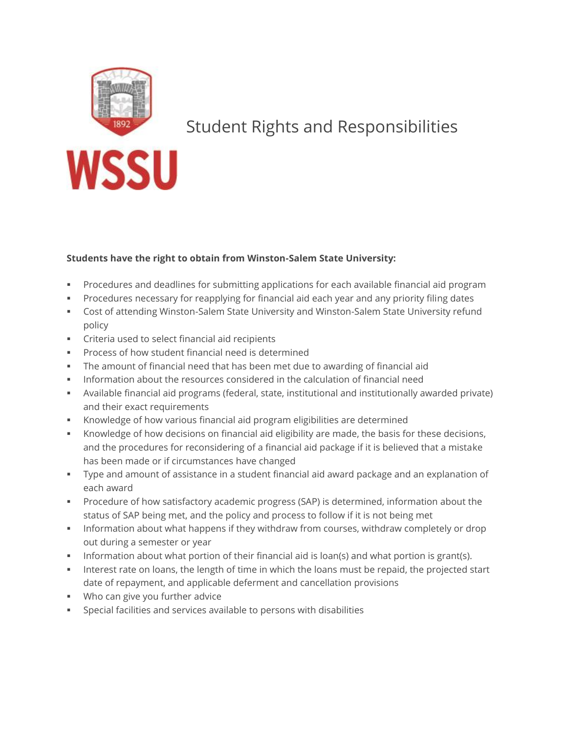

## Student Rights and Responsibilities

## **Students have the right to obtain from Winston-Salem State University:**

- Procedures and deadlines for submitting applications for each available financial aid program
- Procedures necessary for reapplying for financial aid each year and any priority filing dates
- Cost of attending Winston-Salem State University and Winston-Salem State University refund policy
- **Criteria used to select financial aid recipients**
- Process of how student financial need is determined
- The amount of financial need that has been met due to awarding of financial aid
- Information about the resources considered in the calculation of financial need
- Available financial aid programs (federal, state, institutional and institutionally awarded private) and their exact requirements
- Knowledge of how various financial aid program eligibilities are determined
- Knowledge of how decisions on financial aid eligibility are made, the basis for these decisions, and the procedures for reconsidering of a financial aid package if it is believed that a mistake has been made or if circumstances have changed
- Type and amount of assistance in a student financial aid award package and an explanation of each award
- Procedure of how satisfactory academic progress (SAP) is determined, information about the status of SAP being met, and the policy and process to follow if it is not being met
- **Information about what happens if they withdraw from courses, withdraw completely or drop** out during a semester or year
- Information about what portion of their financial aid is loan(s) and what portion is grant(s).
- Interest rate on loans, the length of time in which the loans must be repaid, the projected start date of repayment, and applicable deferment and cancellation provisions
- Who can give you further advice
- Special facilities and services available to persons with disabilities